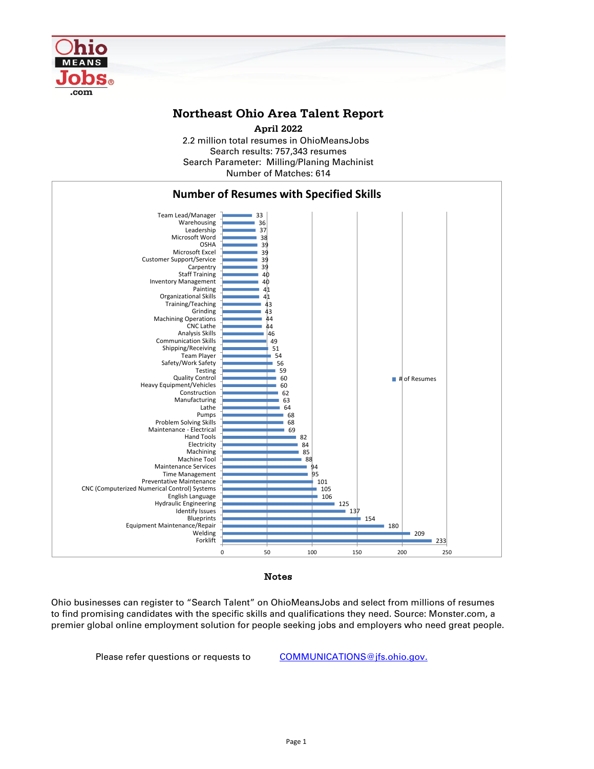

## **Northeast Ohio Area Talent Report**

2.2 million total resumes in OhioMeansJobs Search results: 757,343 resumes Number of Matches: 614 Search Parameter: Milling/Planing Machinist **April 2022**



Notes

Ohio businesses can register to "Search Talent" on OhioMeansJobs and select from millions of resumes to find promising candidates with the specific skills and qualifications they need. Source: Monster.com, a premier global online employment solution for people seeking jobs and employers who need great people.

Please refer questions or requests to [COMMUNICATIONS@jfs.ohio.gov.](mailto:COMMUNICATIONS@jfs.ohio.gov.)